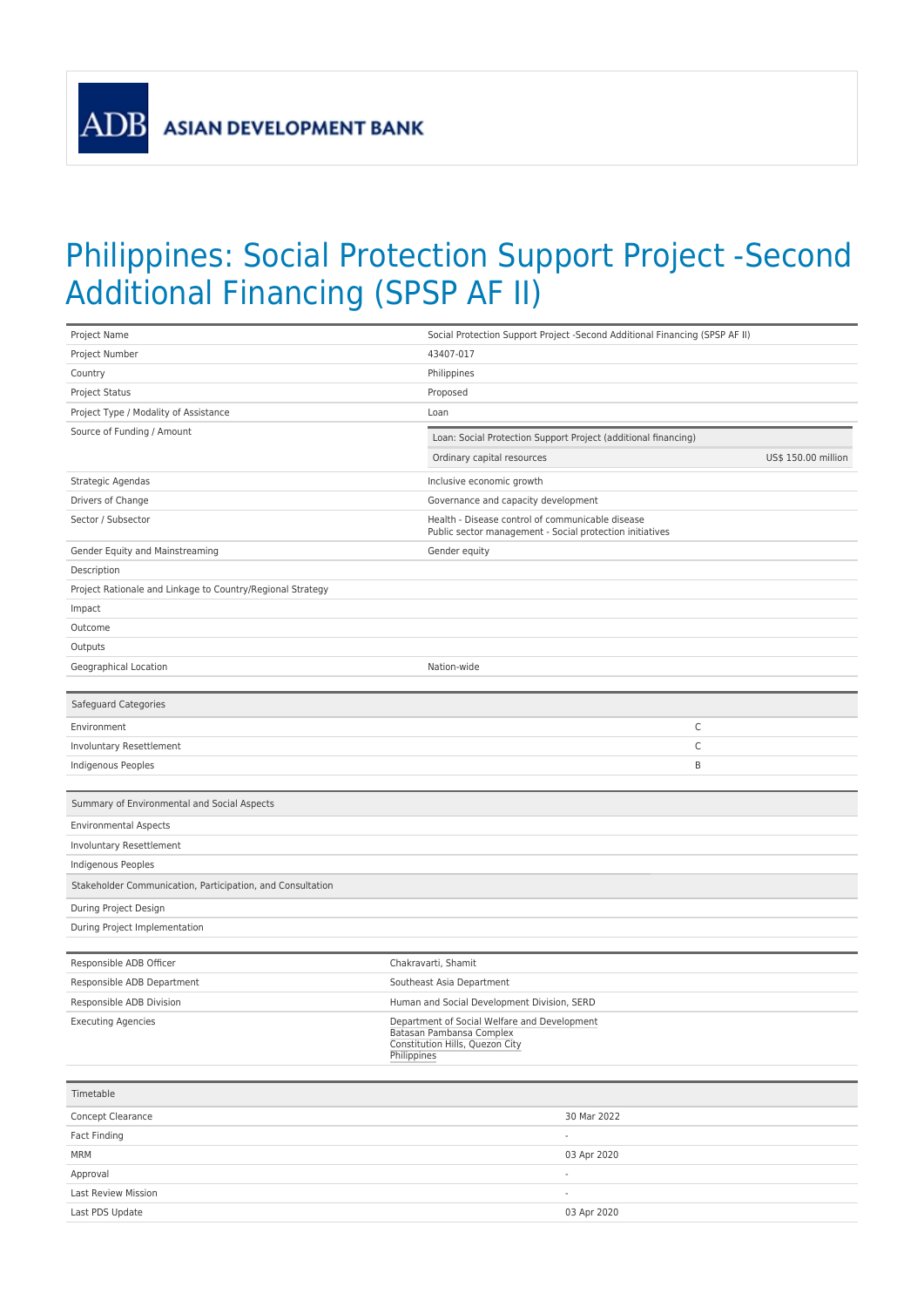**ADB** 

## Philippines: Social Protection Support Project -Second Additional Financing (SPSP AF II)

| Project Name                                               | Social Protection Support Project -Second Additional Financing (SPSP AF II)                                                |
|------------------------------------------------------------|----------------------------------------------------------------------------------------------------------------------------|
| Project Number                                             | 43407-017                                                                                                                  |
| Country                                                    | Philippines                                                                                                                |
| Project Status                                             | Proposed                                                                                                                   |
| Project Type / Modality of Assistance                      | Loan                                                                                                                       |
| Source of Funding / Amount                                 | Loan: Social Protection Support Project (additional financing)                                                             |
|                                                            | Ordinary capital resources<br>US\$ 150.00 million                                                                          |
|                                                            |                                                                                                                            |
| Strategic Agendas                                          | Inclusive economic growth                                                                                                  |
| Drivers of Change                                          | Governance and capacity development                                                                                        |
| Sector / Subsector                                         | Health - Disease control of communicable disease<br>Public sector management - Social protection initiatives               |
| Gender Equity and Mainstreaming                            | Gender equity                                                                                                              |
| Description                                                |                                                                                                                            |
| Project Rationale and Linkage to Country/Regional Strategy |                                                                                                                            |
| Impact                                                     |                                                                                                                            |
| Outcome                                                    |                                                                                                                            |
| Outputs                                                    |                                                                                                                            |
| Geographical Location                                      | Nation-wide                                                                                                                |
|                                                            |                                                                                                                            |
| Safeguard Categories                                       |                                                                                                                            |
| Environment                                                | С                                                                                                                          |
| Involuntary Resettlement                                   | C                                                                                                                          |
| Indigenous Peoples                                         | B                                                                                                                          |
|                                                            |                                                                                                                            |
| Summary of Environmental and Social Aspects                |                                                                                                                            |
| <b>Environmental Aspects</b>                               |                                                                                                                            |
| Involuntary Resettlement                                   |                                                                                                                            |
| Indigenous Peoples                                         |                                                                                                                            |
| Stakeholder Communication, Participation, and Consultation |                                                                                                                            |
| During Project Design                                      |                                                                                                                            |
| During Project Implementation                              |                                                                                                                            |
|                                                            |                                                                                                                            |
| Responsible ADB Officer                                    | Chakravarti, Shamit                                                                                                        |
| Responsible ADB Department                                 | Southeast Asia Department                                                                                                  |
| Responsible ADB Division                                   | Human and Social Development Division, SERD                                                                                |
| <b>Executing Agencies</b>                                  | Department of Social Welfare and Development<br>Batasan Pambansa Complex<br>Constitution Hills, Quezon City<br>Philippines |
|                                                            |                                                                                                                            |
| Timetable                                                  |                                                                                                                            |
| Concept Clearance                                          | 30 Mar 2022                                                                                                                |
| Fact Finding                                               | ÷                                                                                                                          |
| <b>MRM</b>                                                 | 03 Apr 2020                                                                                                                |
| Approval                                                   | $\overline{a}$                                                                                                             |
| Last Review Mission                                        |                                                                                                                            |
| Last PDS Update                                            | 03 Apr 2020                                                                                                                |